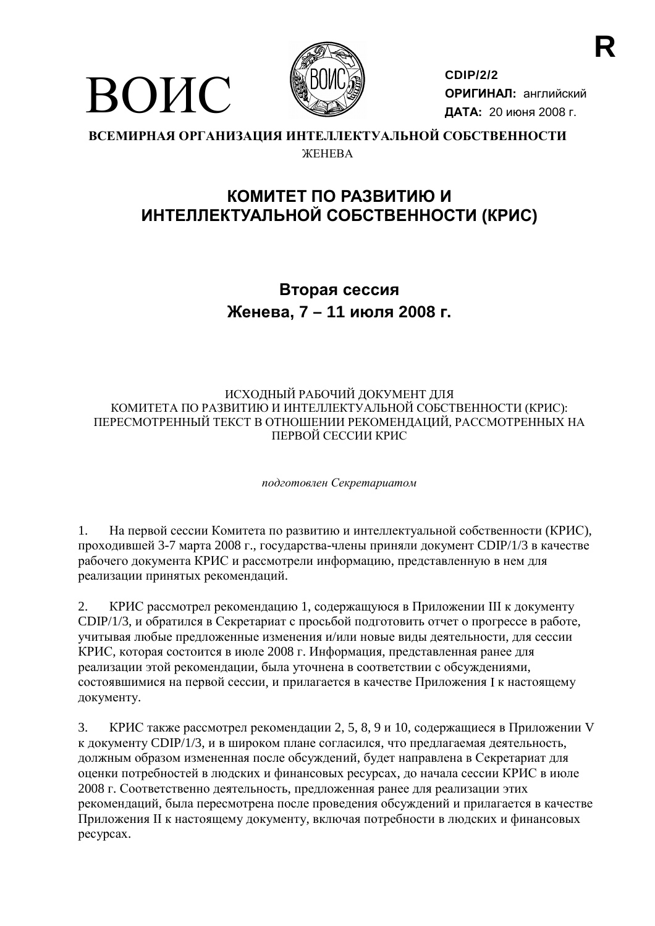

ВОИС

**CDIP/2/2** ОРИГИНАЛ: английский ДАТА: 20 июня 2008 г.

#### ВСЕМИРНАЯ ОРГАНИЗАЦИЯ ИНТЕЛЛЕКТУАЛЬНОЙ СОБСТВЕННОСТИ *WEHEBA*

### КОМИТЕТ ПО РАЗВИТИЮ И ИНТЕЛЛЕКТУАЛЬНОЙ СОБСТВЕННОСТИ (КРИС)

### Вторая сессия Женева, 7 - 11 июля 2008 г.

#### ИСХОДНЫЙ РАБОЧИЙ ДОКУМЕНТ ДЛЯ КОМИТЕТА ПО РАЗВИТИЮ И ИНТЕЛЛЕКТУАЛЬНОЙ СОБСТВЕННОСТИ (КРИС): ПЕРЕСМОТРЕННЫЙ ТЕКСТ В ОТНОШЕНИИ РЕКОМЕНДАЦИЙ, РАССМОТРЕННЫХ НА ПЕРВОЙ СЕССИИ КРИС

подготовлен Секретариатом

 $1<sup>1</sup>$ На первой сессии Комитета по развитию и интеллектуальной собственности (КРИС), проходившей 3-7 марта 2008 г., государства-члены приняли документ CDIP/1/3 в качестве рабочего документа КРИС и рассмотрели информацию, представленную в нем для реализации принятых рекомендаций.

2. КРИС рассмотрел рекомендацию 1, содержащуюся в Приложении III к документу СDIP/1/3, и обратился в Секретариат с просьбой подготовить отчет о прогрессе в работе, учитывая любые предложенные изменения и/или новые виды деятельности, для сессии КРИС, которая состоится в июле 2008 г. Информация, представленная ранее для реализации этой рекомендации, была уточнена в соответствии с обсуждениями, состоявшимися на первой сессии, и прилагается в качестве Приложения I к настоящему документу.

 $\overline{3}$ . КРИС также рассмотрел рекомендации 2, 5, 8, 9 и 10, содержащиеся в Приложении V к документу СDIP/1/3, и в широком плане согласился, что предлагаемая деятельность, должным образом измененная после обсуждений, будет направлена в Секретариат для оценки потребностей в людских и финансовых ресурсах, до начала сессии КРИС в июле 2008 г. Соответственно деятельность, предложенная ранее для реализации этих рекомендаций, была пересмотрена после проведения обсуждений и прилагается в качестве Приложения II к настоящему документу, включая потребности в людских и финансовых pecypcax.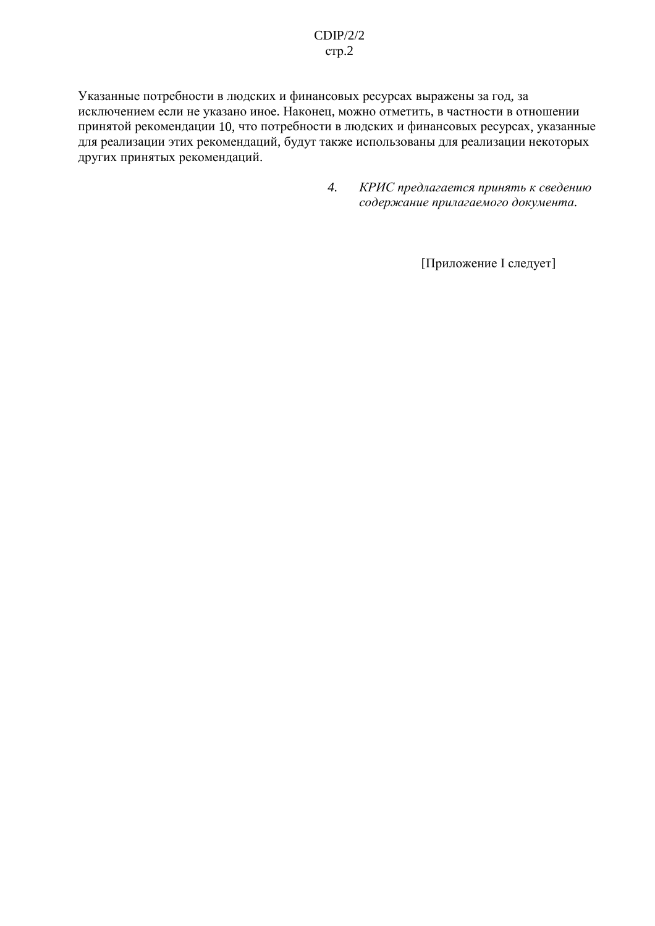#### $CDIP/2/2$  $crp.2$

Указанные потребности в людских и финансовых ресурсах выражены за год, за исключением если не указано иное. Наконец, можно отметить, в частности в отношении принятой рекомендации 10, что потребности в людских и финансовых ресурсах, указанные для реализации этих рекомендаций, будут также использованы для реализации некоторых других принятых рекомендаций.

> $\overline{4}$ . КРИС предлагается принять к сведению содержание прилагаемого документа.

> > [Приложение I следует]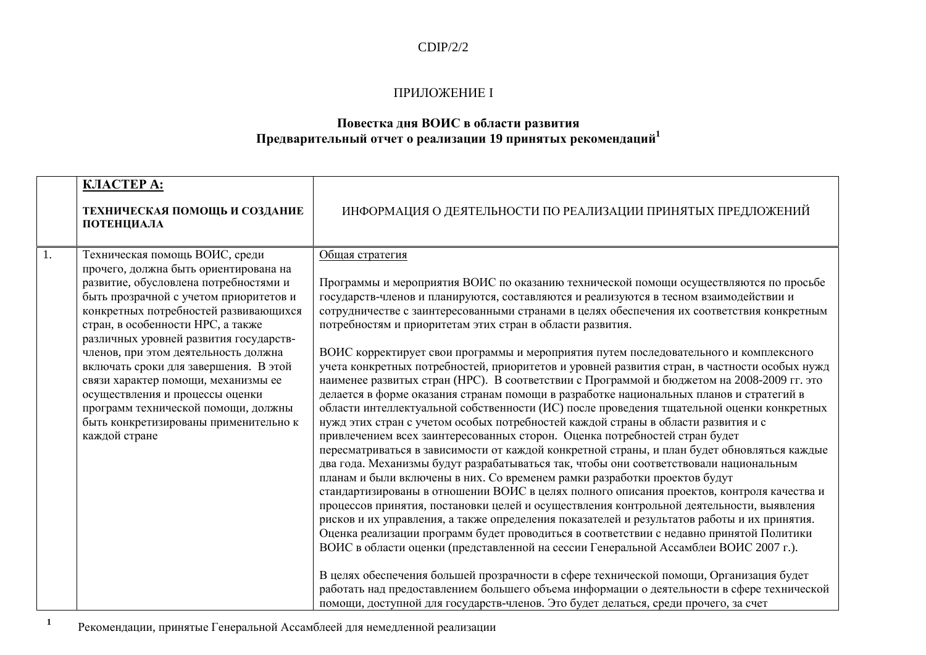#### $CDIP/2/2$

#### ПРИЛОЖЕНИЕ І

## Повестка дня ВОИС в области развития<br>Предварительный отчет о реализации 19 принятых рекомендаций<sup>1</sup>

|    | КЛАСТЕРА:<br>ТЕХНИЧЕСКАЯ ПОМОЩЬ И СОЗДАНИЕ<br>ПОТЕНЦИАЛА                                                                                                                                                                                                                                                                                                                                                                                                                                                                                       | ИНФОРМАЦИЯ О ДЕЯТЕЛЬНОСТИ ПО РЕАЛИЗАЦИИ ПРИНЯТЫХ ПРЕДЛОЖЕНИЙ                                                                                                                                                                                                                                                                                                                                                                                                                                                                                                                                                                                                                                                                                                                                                                                                                                                                                                                                                                                                                                                                                                                                                                                                                                                                                                                                                                                                                                                                                                                                                                                                                                                                                                                                                                                             |
|----|------------------------------------------------------------------------------------------------------------------------------------------------------------------------------------------------------------------------------------------------------------------------------------------------------------------------------------------------------------------------------------------------------------------------------------------------------------------------------------------------------------------------------------------------|----------------------------------------------------------------------------------------------------------------------------------------------------------------------------------------------------------------------------------------------------------------------------------------------------------------------------------------------------------------------------------------------------------------------------------------------------------------------------------------------------------------------------------------------------------------------------------------------------------------------------------------------------------------------------------------------------------------------------------------------------------------------------------------------------------------------------------------------------------------------------------------------------------------------------------------------------------------------------------------------------------------------------------------------------------------------------------------------------------------------------------------------------------------------------------------------------------------------------------------------------------------------------------------------------------------------------------------------------------------------------------------------------------------------------------------------------------------------------------------------------------------------------------------------------------------------------------------------------------------------------------------------------------------------------------------------------------------------------------------------------------------------------------------------------------------------------------------------------------|
| 1. | Техническая помощь ВОИС, среди<br>прочего, должна быть ориентирована на<br>развитие, обусловлена потребностями и<br>быть прозрачной с учетом приоритетов и<br>конкретных потребностей развивающихся<br>стран, в особенности НРС, а также<br>различных уровней развития государств-<br>членов, при этом деятельность должна<br>включать сроки для завершения. В этой<br>связи характер помощи, механизмы ее<br>осуществления и процессы оценки<br>программ технической помощи, должны<br>быть конкретизированы применительно к<br>каждой стране | Общая стратегия<br>Программы и мероприятия ВОИС по оказанию технической помощи осуществляются по просьбе<br>государств-членов и планируются, составляются и реализуются в тесном взаимодействии и<br>сотрудничестве с заинтересованными странами в целях обеспечения их соответствия конкретным<br>потребностям и приоритетам этих стран в области развития.<br>ВОИС корректирует свои программы и мероприятия путем последовательного и комплексного<br>учета конкретных потребностей, приоритетов и уровней развития стран, в частности особых нужд<br>наименее развитых стран (НРС). В соответствии с Программой и бюджетом на 2008-2009 гг. это<br>делается в форме оказания странам помощи в разработке национальных планов и стратегий в<br>области интеллектуальной собственности (ИС) после проведения тщательной оценки конкретных<br>нужд этих стран с учетом особых потребностей каждой страны в области развития и с<br>привлечением всех заинтересованных сторон. Оценка потребностей стран будет<br>пересматриваться в зависимости от каждой конкретной страны, и план будет обновляться каждые<br>два года. Механизмы будут разрабатываться так, чтобы они соответствовали национальным<br>планам и были включены в них. Со временем рамки разработки проектов будут<br>стандартизированы в отношении ВОИС в целях полного описания проектов, контроля качества и<br>процессов принятия, постановки целей и осуществления контрольной деятельности, выявления<br>рисков и их управления, а также определения показателей и результатов работы и их принятия.<br>Оценка реализации программ будет проводиться в соответствии с недавно принятой Политики<br>ВОИС в области оценки (представленной на сессии Генеральной Ассамблеи ВОИС 2007 г.).<br>В целях обеспечения большей прозрачности в сфере технической помощи, Организация будет |
|    |                                                                                                                                                                                                                                                                                                                                                                                                                                                                                                                                                | работать над предоставлением большего объема информации о деятельности в сфере технической<br>помощи, доступной для государств-членов. Это будет делаться, среди прочего, за счет                                                                                                                                                                                                                                                                                                                                                                                                                                                                                                                                                                                                                                                                                                                                                                                                                                                                                                                                                                                                                                                                                                                                                                                                                                                                                                                                                                                                                                                                                                                                                                                                                                                                        |

 $\mathbf{1}$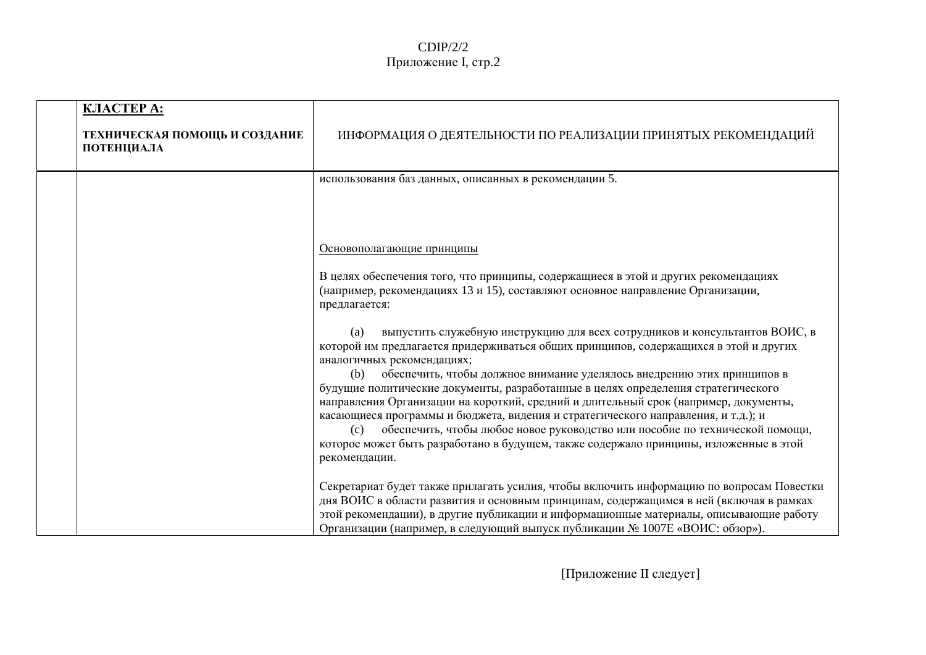### $CDIP/2/2$ Приложение I, стр.2

| <b>KJIACTEP A:</b><br>ТЕХНИЧЕСКАЯ ПОМОЩЬ И СОЗДАНИЕ<br>ПОТЕНЦИАЛА | ИНФОРМАЦИЯ О ДЕЯТЕЛЬНОСТИ ПО РЕАЛИЗАЦИИ ПРИНЯТЫХ РЕКОМЕНДАЦИЙ                                                                                                                                                                                                                                                                                                                                                                                                                                                                                                                                                                                                                                                                                                 |
|-------------------------------------------------------------------|---------------------------------------------------------------------------------------------------------------------------------------------------------------------------------------------------------------------------------------------------------------------------------------------------------------------------------------------------------------------------------------------------------------------------------------------------------------------------------------------------------------------------------------------------------------------------------------------------------------------------------------------------------------------------------------------------------------------------------------------------------------|
|                                                                   | использования баз данных, описанных в рекомендации 5.                                                                                                                                                                                                                                                                                                                                                                                                                                                                                                                                                                                                                                                                                                         |
|                                                                   | Основополагающие принципы<br>В целях обеспечения того, что принципы, содержащиеся в этой и других рекомендациях<br>(например, рекомендациях 13 и 15), составляют основное направление Организации,<br>предлагается:                                                                                                                                                                                                                                                                                                                                                                                                                                                                                                                                           |
|                                                                   | выпустить служебную инструкцию для всех сотрудников и консультантов ВОИС, в<br>(a)<br>которой им предлагается придерживаться общих принципов, содержащихся в этой и других<br>аналогичных рекомендациях;<br>обеспечить, чтобы должное внимание уделялось внедрению этих принципов в<br>(b)<br>будущие политические документы, разработанные в целях определения стратегического<br>направления Организации на короткий, средний и длительный срок (например, документы,<br>касающиеся программы и бюджета, видения и стратегического направления, и т.д.); и<br>обеспечить, чтобы любое новое руководство или пособие по технической помощи,<br>(c)<br>которое может быть разработано в будущем, также содержало принципы, изложенные в этой<br>рекомендации. |
|                                                                   | Секретариат будет также прилагать усилия, чтобы включить информацию по вопросам Повестки<br>дня ВОИС в области развития и основным принципам, содержащимся в ней (включая в рамках<br>этой рекомендации), в другие публикации и информационные материалы, описывающие работу<br>Организации (например, в следующий выпуск публикации № 1007Е «ВОИС: обзор»).                                                                                                                                                                                                                                                                                                                                                                                                  |

[Приложение II следует]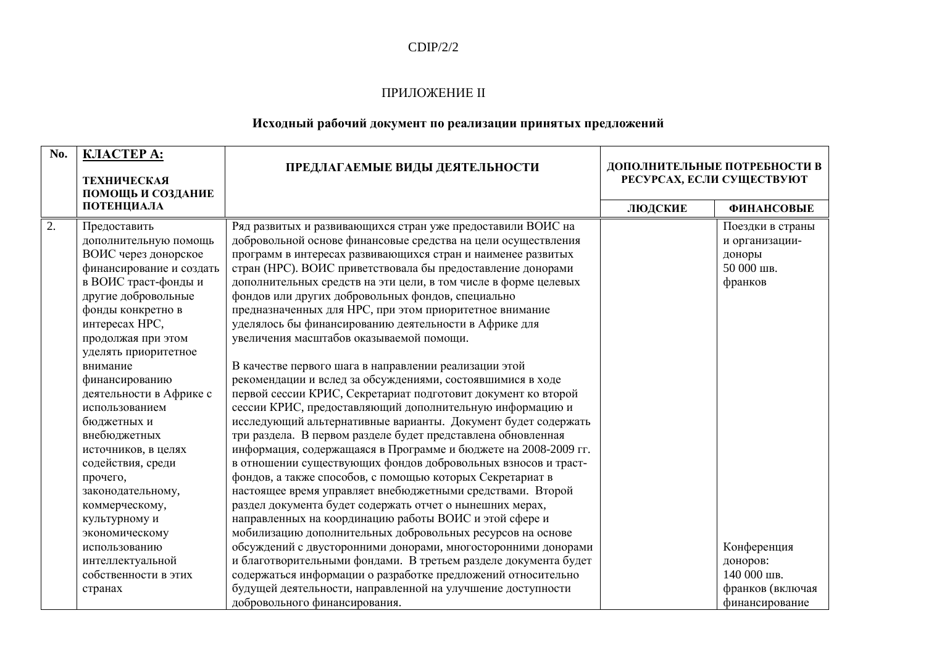### $CDIP/2/2$

#### ПРИЛОЖЕНИЕ II

### Исходный рабочий документ по реализации принятых предложений

| No.              | КЛАСТЕРА:<br><b>ТЕХНИЧЕСКАЯ</b><br>ПОМОЩЬ И СОЗДАНИЕ                                                                                                                                                                                                                                                                                                                                                                                                                      | ПРЕДЛАГАЕМЫЕ ВИДЫ ДЕЯТЕЛЬНОСТИ                                                                                                                                                                                                                                                                                                                                                                                                                                                                                                                                                                                                                                                                                                                                                                                                                                                                                                                                                                                                                                                                                                                                                                                                                                                                                                                                                              | ДОПОЛНИТЕЛЬНЫЕ ПОТРЕБНОСТИ В<br>РЕСУРСАХ, ЕСЛИ СУЩЕСТВУЮТ |                                                                       |
|------------------|---------------------------------------------------------------------------------------------------------------------------------------------------------------------------------------------------------------------------------------------------------------------------------------------------------------------------------------------------------------------------------------------------------------------------------------------------------------------------|---------------------------------------------------------------------------------------------------------------------------------------------------------------------------------------------------------------------------------------------------------------------------------------------------------------------------------------------------------------------------------------------------------------------------------------------------------------------------------------------------------------------------------------------------------------------------------------------------------------------------------------------------------------------------------------------------------------------------------------------------------------------------------------------------------------------------------------------------------------------------------------------------------------------------------------------------------------------------------------------------------------------------------------------------------------------------------------------------------------------------------------------------------------------------------------------------------------------------------------------------------------------------------------------------------------------------------------------------------------------------------------------|-----------------------------------------------------------|-----------------------------------------------------------------------|
|                  | ПОТЕНЦИАЛА                                                                                                                                                                                                                                                                                                                                                                                                                                                                |                                                                                                                                                                                                                                                                                                                                                                                                                                                                                                                                                                                                                                                                                                                                                                                                                                                                                                                                                                                                                                                                                                                                                                                                                                                                                                                                                                                             | ЛЮДСКИЕ                                                   | <b>ФИНАНСОВЫЕ</b>                                                     |
| $\overline{2}$ . | Предоставить<br>дополнительную помощь<br>ВОИС через донорское<br>финансирование и создать<br>в ВОИС траст-фонды и<br>другие добровольные<br>фонды конкретно в<br>интересах НРС,<br>продолжая при этом<br>уделять приоритетное<br>внимание<br>финансированию<br>деятельности в Африке с<br>использованием<br>бюджетных и<br>внебюджетных<br>источников, в целях<br>содействия, среди<br>прочего,<br>законодательному,<br>коммерческому,<br>культурному и<br>экономическому | Ряд развитых и развивающихся стран уже предоставили ВОИС на<br>добровольной основе финансовые средства на цели осуществления<br>программ в интересах развивающихся стран и наименее развитых<br>стран (НРС). ВОИС приветствовала бы предоставление донорами<br>дополнительных средств на эти цели, в том числе в форме целевых<br>фондов или других добровольных фондов, специально<br>предназначенных для НРС, при этом приоритетное внимание<br>уделялось бы финансированию деятельности в Африке для<br>увеличения масштабов оказываемой помощи.<br>В качестве первого шага в направлении реализации этой<br>рекомендации и вслед за обсуждениями, состоявшимися в ходе<br>первой сессии КРИС, Секретариат подготовит документ ко второй<br>сессии КРИС, предоставляющий дополнительную информацию и<br>исследующий альтернативные варианты. Документ будет содержать<br>три раздела. В первом разделе будет представлена обновленная<br>информация, содержащаяся в Программе и бюджете на 2008-2009 гг.<br>в отношении существующих фондов добровольных взносов и траст-<br>фондов, а также способов, с помощью которых Секретариат в<br>настоящее время управляет внебюджетными средствами. Второй<br>раздел документа будет содержать отчет о нынешних мерах,<br>направленных на координацию работы ВОИС и этой сфере и<br>мобилизацию дополнительных добровольных ресурсов на основе |                                                           | Поездки в страны<br>и организации-<br>доноры<br>50 000 шв.<br>франков |
|                  | использованию                                                                                                                                                                                                                                                                                                                                                                                                                                                             | обсуждений с двусторонними донорами, многосторонними донорами                                                                                                                                                                                                                                                                                                                                                                                                                                                                                                                                                                                                                                                                                                                                                                                                                                                                                                                                                                                                                                                                                                                                                                                                                                                                                                                               |                                                           | Конференция                                                           |
|                  | интеллектуальной                                                                                                                                                                                                                                                                                                                                                                                                                                                          | и благотворительными фондами. В третьем разделе документа будет                                                                                                                                                                                                                                                                                                                                                                                                                                                                                                                                                                                                                                                                                                                                                                                                                                                                                                                                                                                                                                                                                                                                                                                                                                                                                                                             |                                                           | доноров:                                                              |
|                  | собственности в этих                                                                                                                                                                                                                                                                                                                                                                                                                                                      | содержаться информации о разработке предложений относительно                                                                                                                                                                                                                                                                                                                                                                                                                                                                                                                                                                                                                                                                                                                                                                                                                                                                                                                                                                                                                                                                                                                                                                                                                                                                                                                                |                                                           | 140 000 шв.                                                           |
|                  | странах                                                                                                                                                                                                                                                                                                                                                                                                                                                                   | будущей деятельности, направленной на улучшение доступности                                                                                                                                                                                                                                                                                                                                                                                                                                                                                                                                                                                                                                                                                                                                                                                                                                                                                                                                                                                                                                                                                                                                                                                                                                                                                                                                 |                                                           | франков (включая                                                      |
|                  |                                                                                                                                                                                                                                                                                                                                                                                                                                                                           | добровольного финансирования.                                                                                                                                                                                                                                                                                                                                                                                                                                                                                                                                                                                                                                                                                                                                                                                                                                                                                                                                                                                                                                                                                                                                                                                                                                                                                                                                                               |                                                           | финансирование                                                        |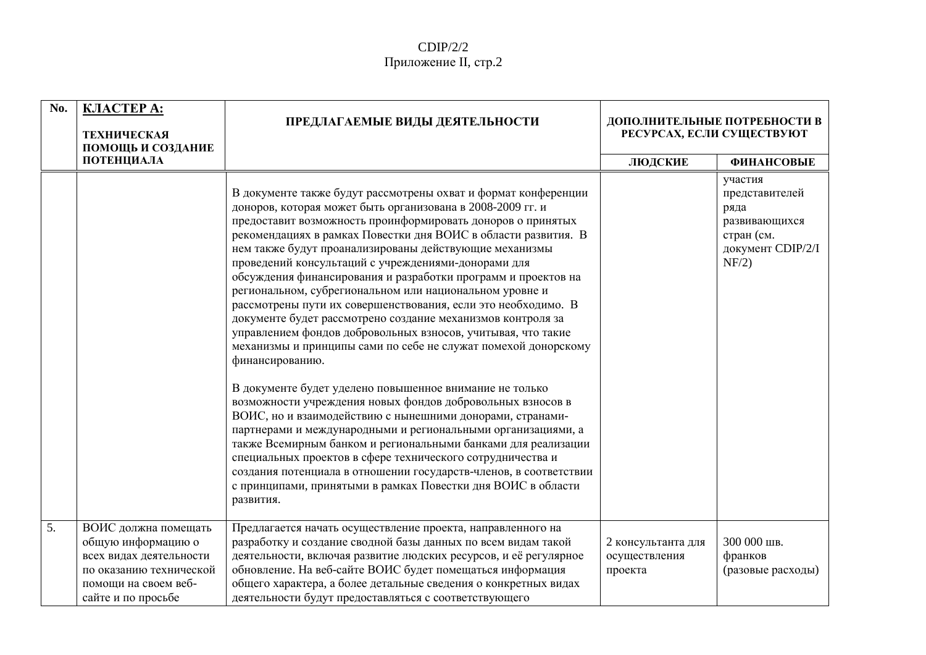| No. | <b>KJIACTEP A:</b><br><b>ТЕХНИЧЕСКАЯ</b><br>ПОМОЩЬ И СОЗДАНИЕ                                                                                  | ПРЕДЛАГАЕМЫЕ ВИДЫ ДЕЯТЕЛЬНОСТИ                                                                                                                                                                                                                                                                                                                                                                                                                                                                                                                                                                                                                                                                                                                                                                                                                                                                                                                                                                                                                                                                                                                                                                                                                                                                                                         | ДОПОЛНИТЕЛЬНЫЕ ПОТРЕБНОСТИ В<br>РЕСУРСАХ, ЕСЛИ СУЩЕСТВУЮТ |                                                                                                |
|-----|------------------------------------------------------------------------------------------------------------------------------------------------|----------------------------------------------------------------------------------------------------------------------------------------------------------------------------------------------------------------------------------------------------------------------------------------------------------------------------------------------------------------------------------------------------------------------------------------------------------------------------------------------------------------------------------------------------------------------------------------------------------------------------------------------------------------------------------------------------------------------------------------------------------------------------------------------------------------------------------------------------------------------------------------------------------------------------------------------------------------------------------------------------------------------------------------------------------------------------------------------------------------------------------------------------------------------------------------------------------------------------------------------------------------------------------------------------------------------------------------|-----------------------------------------------------------|------------------------------------------------------------------------------------------------|
|     | ПОТЕНЦИАЛА                                                                                                                                     |                                                                                                                                                                                                                                                                                                                                                                                                                                                                                                                                                                                                                                                                                                                                                                                                                                                                                                                                                                                                                                                                                                                                                                                                                                                                                                                                        | ЛЮДСКИЕ                                                   | <b>ФИНАНСОВЫЕ</b>                                                                              |
|     |                                                                                                                                                | В документе также будут рассмотрены охват и формат конференции<br>доноров, которая может быть организована в 2008-2009 гг. и<br>предоставит возможность проинформировать доноров о принятых<br>рекомендациях в рамках Повестки дня ВОИС в области развития. В<br>нем также будут проанализированы действующие механизмы<br>проведений консультаций с учреждениями-донорами для<br>обсуждения финансирования и разработки программ и проектов на<br>региональном, субрегиональном или национальном уровне и<br>рассмотрены пути их совершенствования, если это необходимо. В<br>документе будет рассмотрено создание механизмов контроля за<br>управлением фондов добровольных взносов, учитывая, что такие<br>механизмы и принципы сами по себе не служат помехой донорскому<br>финансированию.<br>В документе будет уделено повышенное внимание не только<br>возможности учреждения новых фондов добровольных взносов в<br>ВОИС, но и взаимодействию с нынешними донорами, странами-<br>партнерами и международными и региональными организациями, а<br>также Всемирным банком и региональными банками для реализации<br>специальных проектов в сфере технического сотрудничества и<br>создания потенциала в отношении государств-членов, в соответствии<br>с принципами, принятыми в рамках Повестки дня ВОИС в области<br>развития. |                                                           | участия<br>представителей<br>ряда<br>развивающихся<br>стран (см.<br>документ CDIP/2/I<br>NF/2) |
|     |                                                                                                                                                |                                                                                                                                                                                                                                                                                                                                                                                                                                                                                                                                                                                                                                                                                                                                                                                                                                                                                                                                                                                                                                                                                                                                                                                                                                                                                                                                        |                                                           |                                                                                                |
| 5.  | ВОИС должна помещать<br>общую информацию о<br>всех видах деятельности<br>по оказанию технической<br>помощи на своем веб-<br>сайте и по просьбе | Предлагается начать осуществление проекта, направленного на<br>разработку и создание сводной базы данных по всем видам такой<br>деятельности, включая развитие людских ресурсов, и её регулярное<br>обновление. На веб-сайте ВОИС будет помещаться информация<br>общего характера, а более детальные сведения о конкретных видах<br>деятельности будут предоставляться с соответствующего                                                                                                                                                                                                                                                                                                                                                                                                                                                                                                                                                                                                                                                                                                                                                                                                                                                                                                                                              | 2 консультанта для<br>осуществления<br>проекта            | 300 000 шв.<br>франков<br>(разовые расходы)                                                    |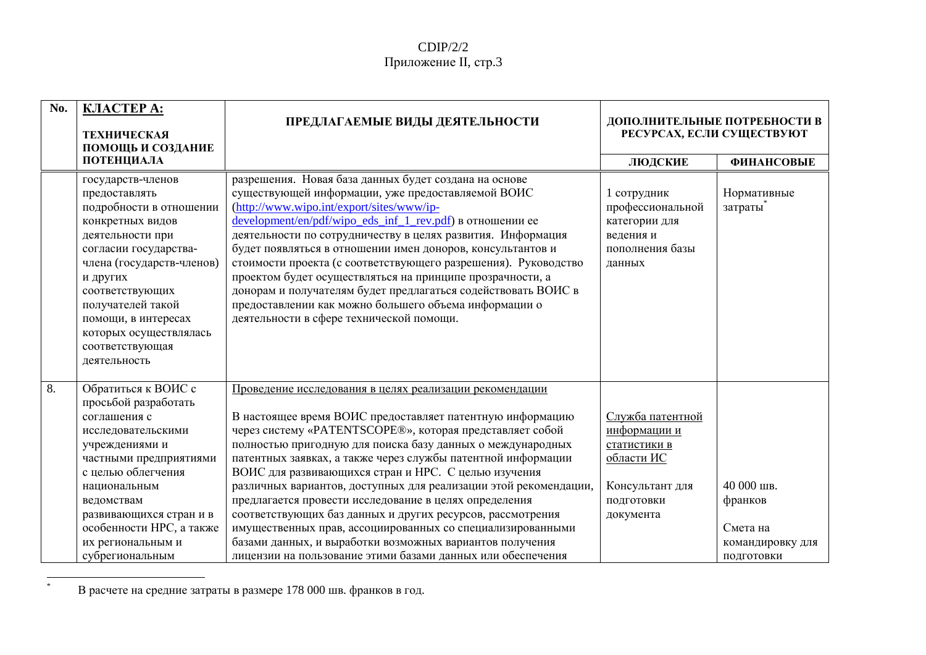#### $CDIP/2/2$ Приложение II, стр.3

| No. | КЛАСТЕРА:<br><b>ТЕХНИЧЕСКАЯ</b><br>ПОМОЩЬ И СОЗДАНИЕ                                                                                                                                                                                                                                                | ПРЕДЛАГАЕМЫЕ ВИДЫ ДЕЯТЕЛЬНОСТИ                                                                                                                                                                                                                                                                                                                                                                                                                                                                                                                                                                                                                                                                                                                              | ДОПОЛНИТЕЛЬНЫЕ ПОТРЕБНОСТИ В<br>РЕСУРСАХ, ЕСЛИ СУЩЕСТВУЮТ                                                    |                                                                     |
|-----|-----------------------------------------------------------------------------------------------------------------------------------------------------------------------------------------------------------------------------------------------------------------------------------------------------|-------------------------------------------------------------------------------------------------------------------------------------------------------------------------------------------------------------------------------------------------------------------------------------------------------------------------------------------------------------------------------------------------------------------------------------------------------------------------------------------------------------------------------------------------------------------------------------------------------------------------------------------------------------------------------------------------------------------------------------------------------------|--------------------------------------------------------------------------------------------------------------|---------------------------------------------------------------------|
|     | ПОТЕНЦИАЛА                                                                                                                                                                                                                                                                                          |                                                                                                                                                                                                                                                                                                                                                                                                                                                                                                                                                                                                                                                                                                                                                             | ЛЮДСКИЕ                                                                                                      | <b>ФИНАНСОВЫЕ</b>                                                   |
|     | государств-членов<br>предоставлять<br>подробности в отношении<br>конкретных видов<br>деятельности при<br>согласии государства-<br>члена (государств-членов)<br>и других<br>соответствующих<br>получателей такой<br>помощи, в интересах<br>которых осуществлялась<br>соответствующая<br>деятельность | разрешения. Новая база данных будет создана на основе<br>существующей информации, уже предоставляемой ВОИС<br>(http://www.wipo.int/export/sites/www/ip-<br>development/en/pdf/wipo_eds_inf_1_rev.pdf) в отношении ее<br>деятельности по сотрудничеству в целях развития. Информация<br>будет появляться в отношении имен доноров, консультантов и<br>стоимости проекта (с соответствующего разрешения). Руководство<br>проектом будет осуществляться на принципе прозрачности, а<br>донорам и получателям будет предлагаться содействовать ВОИС в<br>предоставлении как можно большего объема информации о<br>деятельности в сфере технической помощи.                                                                                                      | 1 сотрудник<br>профессиональной<br>категории для<br>ведения и<br>пополнения базы<br>данных                   | Нормативные<br>затраты                                              |
| 8.  | Обратиться к ВОИС с<br>просьбой разработать<br>соглашения с<br>исследовательскими<br>учреждениями и<br>частными предприятиями<br>с целью облегчения<br>национальным<br>ведомствам<br>развивающихся стран и в<br>особенности НРС, а также<br>их региональным и<br>субрегиональным                    | Проведение исследования в целях реализации рекомендации<br>В настоящее время ВОИС предоставляет патентную информацию<br>через систему «PATENTSCOPE®», которая представляет собой<br>полностью пригодную для поиска базу данных о международных<br>патентных заявках, а также через службы патентной информации<br>ВОИС для развивающихся стран и НРС. С целью изучения<br>различных вариантов, доступных для реализации этой рекомендации,<br>предлагается провести исследование в целях определения<br>соответствующих баз данных и других ресурсов, рассмотрения<br>имущественных прав, ассоциированных со специализированными<br>базами данных, и выработки возможных вариантов получения<br>лицензии на пользование этими базами данных или обеспечения | Служба патентной<br>информации и<br>статистики в<br>области ИС<br>Консультант для<br>подготовки<br>документа | 40 000 шв.<br>франков<br>Смета на<br>командировку для<br>подготовки |

 $\ast$ В расчете на средние затраты в размере 178 000 шв. франков в год.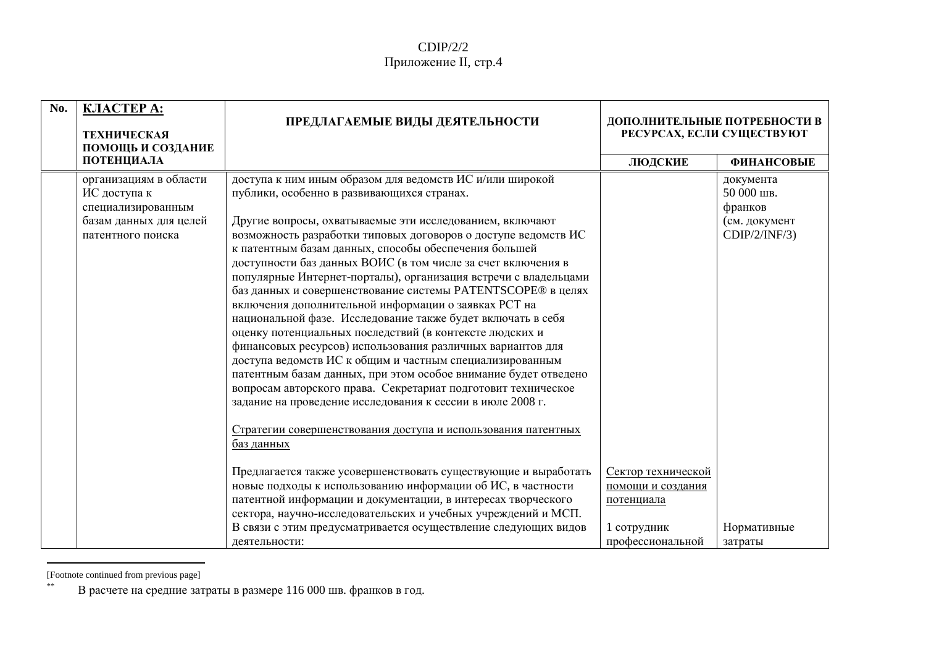#### $CDIP/2/2$ Приложение II, стр.4

| No. | <b>KJIACTEP A:</b><br><b>ТЕХНИЧЕСКАЯ</b><br>ПОМОЩЬ И СОЗДАНИЕ                                               | ПРЕДЛАГАЕМЫЕ ВИДЫ ДЕЯТЕЛЬНОСТИ                                                                                                                                                                                                                                                                                                                                                                                                                                                                                                                                                                                                                                                                                                                                                                                                                                                                                                                                                                                                                                                                                                                                 | ДОПОЛНИТЕЛЬНЫЕ ПОТРЕБНОСТИ В<br>РЕСУРСАХ, ЕСЛИ СУЩЕСТВУЮТ |                                                                      |
|-----|-------------------------------------------------------------------------------------------------------------|----------------------------------------------------------------------------------------------------------------------------------------------------------------------------------------------------------------------------------------------------------------------------------------------------------------------------------------------------------------------------------------------------------------------------------------------------------------------------------------------------------------------------------------------------------------------------------------------------------------------------------------------------------------------------------------------------------------------------------------------------------------------------------------------------------------------------------------------------------------------------------------------------------------------------------------------------------------------------------------------------------------------------------------------------------------------------------------------------------------------------------------------------------------|-----------------------------------------------------------|----------------------------------------------------------------------|
|     | ПОТЕНЦИАЛА                                                                                                  |                                                                                                                                                                                                                                                                                                                                                                                                                                                                                                                                                                                                                                                                                                                                                                                                                                                                                                                                                                                                                                                                                                                                                                | ЛЮДСКИЕ                                                   | <b>ФИНАНСОВЫЕ</b>                                                    |
|     | организациям в области<br>ИС доступа к<br>специализированным<br>базам данных для целей<br>патентного поиска | доступа к ним иным образом для ведомств ИС и/или широкой<br>публики, особенно в развивающихся странах.<br>Другие вопросы, охватываемые эти исследованием, включают<br>возможность разработки типовых договоров о доступе ведомств ИС<br>к патентным базам данных, способы обеспечения большей<br>доступности баз данных ВОИС (в том числе за счет включения в<br>популярные Интернет-порталы), организация встречи с владельцами<br>баз данных и совершенствование системы PATENTSCOPE® в целях<br>включения дополнительной информации о заявках РСТ на<br>национальной фазе. Исследование также будет включать в себя<br>оценку потенциальных последствий (в контексте людских и<br>финансовых ресурсов) использования различных вариантов для<br>доступа ведомств ИС к общим и частным специализированным<br>патентным базам данных, при этом особое внимание будет отведено<br>вопросам авторского права. Секретариат подготовит техническое<br>задание на проведение исследования к сессии в июле 2008 г.<br>Стратегии совершенствования доступа и использования патентных<br>баз данных<br>Предлагается также усовершенствовать существующие и выработать | Сектор технической                                        | документа<br>50 000 шв.<br>франков<br>(см. документ<br>CDIP/2/INF/3) |
|     |                                                                                                             | новые подходы к использованию информации об ИС, в частности<br>патентной информации и документации, в интересах творческого                                                                                                                                                                                                                                                                                                                                                                                                                                                                                                                                                                                                                                                                                                                                                                                                                                                                                                                                                                                                                                    | помощи и создания<br>потенциала                           |                                                                      |
|     |                                                                                                             | сектора, научно-исследовательских и учебных учреждений и МСП.                                                                                                                                                                                                                                                                                                                                                                                                                                                                                                                                                                                                                                                                                                                                                                                                                                                                                                                                                                                                                                                                                                  |                                                           |                                                                      |
|     |                                                                                                             | В связи с этим предусматривается осуществление следующих видов                                                                                                                                                                                                                                                                                                                                                                                                                                                                                                                                                                                                                                                                                                                                                                                                                                                                                                                                                                                                                                                                                                 | 1 сотрудник                                               | Нормативные                                                          |
|     |                                                                                                             | деятельности:                                                                                                                                                                                                                                                                                                                                                                                                                                                                                                                                                                                                                                                                                                                                                                                                                                                                                                                                                                                                                                                                                                                                                  | профессиональной                                          | затраты                                                              |

<sup>[</sup>Footnote continued from previous page]

 $\ast\ast$ В расчете на средние затраты в размере 116 000 шв. франков в год.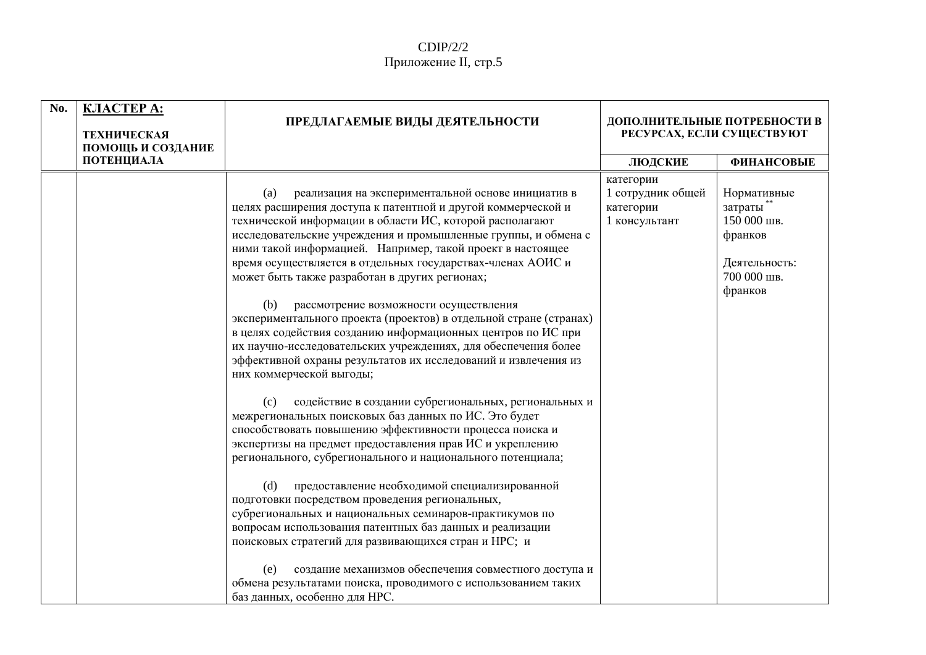| No. | <b>KJIACTEP A:</b><br><b>ТЕХНИЧЕСКАЯ</b><br>ПОМОЩЬ И СОЗДАНИЕ | ПРЕДЛАГАЕМЫЕ ВИДЫ ДЕЯТЕЛЬНОСТИ                                                                                                                                                                                                                                                                                                                                                                                                                                                                                                                                                                                                                                                                                                                                                                                                                                                                                                                                                                                                                                                                                                                                                                                                                                                                                                                                                                                                                                                                                                                                              | ДОПОЛНИТЕЛЬНЫЕ ПОТРЕБНОСТИ В<br>РЕСУРСАХ, ЕСЛИ СУЩЕСТВУЮТ    |                                                                                               |
|-----|---------------------------------------------------------------|-----------------------------------------------------------------------------------------------------------------------------------------------------------------------------------------------------------------------------------------------------------------------------------------------------------------------------------------------------------------------------------------------------------------------------------------------------------------------------------------------------------------------------------------------------------------------------------------------------------------------------------------------------------------------------------------------------------------------------------------------------------------------------------------------------------------------------------------------------------------------------------------------------------------------------------------------------------------------------------------------------------------------------------------------------------------------------------------------------------------------------------------------------------------------------------------------------------------------------------------------------------------------------------------------------------------------------------------------------------------------------------------------------------------------------------------------------------------------------------------------------------------------------------------------------------------------------|--------------------------------------------------------------|-----------------------------------------------------------------------------------------------|
|     | ПОТЕНЦИАЛА                                                    |                                                                                                                                                                                                                                                                                                                                                                                                                                                                                                                                                                                                                                                                                                                                                                                                                                                                                                                                                                                                                                                                                                                                                                                                                                                                                                                                                                                                                                                                                                                                                                             | ЛЮДСКИЕ                                                      | <b>ФИНАНСОВЫЕ</b>                                                                             |
|     |                                                               | реализация на экспериментальной основе инициатив в<br>(a)<br>целях расширения доступа к патентной и другой коммерческой и<br>технической информации в области ИС, которой располагают<br>исследовательские учреждения и промышленные группы, и обмена с<br>ними такой информацией. Например, такой проект в настоящее<br>время осуществляется в отдельных государствах-членах АОИС и<br>может быть также разработан в других регионах;<br>(b)<br>рассмотрение возможности осуществления<br>экспериментального проекта (проектов) в отдельной стране (странах)<br>в целях содействия созданию информационных центров по ИС при<br>их научно-исследовательских учреждениях, для обеспечения более<br>эффективной охраны результатов их исследований и извлечения из<br>них коммерческой выгоды;<br>содействие в создании субрегиональных, региональных и<br>(c)<br>межрегиональных поисковых баз данных по ИС. Это будет<br>способствовать повышению эффективности процесса поиска и<br>экспертизы на предмет предоставления прав ИС и укреплению<br>регионального, субрегионального и национального потенциала;<br>предоставление необходимой специализированной<br>(d)<br>подготовки посредством проведения региональных,<br>субрегиональных и национальных семинаров-практикумов по<br>вопросам использования патентных баз данных и реализации<br>поисковых стратегий для развивающихся стран и НРС; и<br>создание механизмов обеспечения совместного доступа и<br>(e)<br>обмена результатами поиска, проводимого с использованием таких<br>баз данных, особенно для НРС. | категории<br>1 сотрудник общей<br>категории<br>1 консультант | Нормативные<br>затраты**<br>150 000 шв.<br>франков<br>Деятельность:<br>700 000 шв.<br>франков |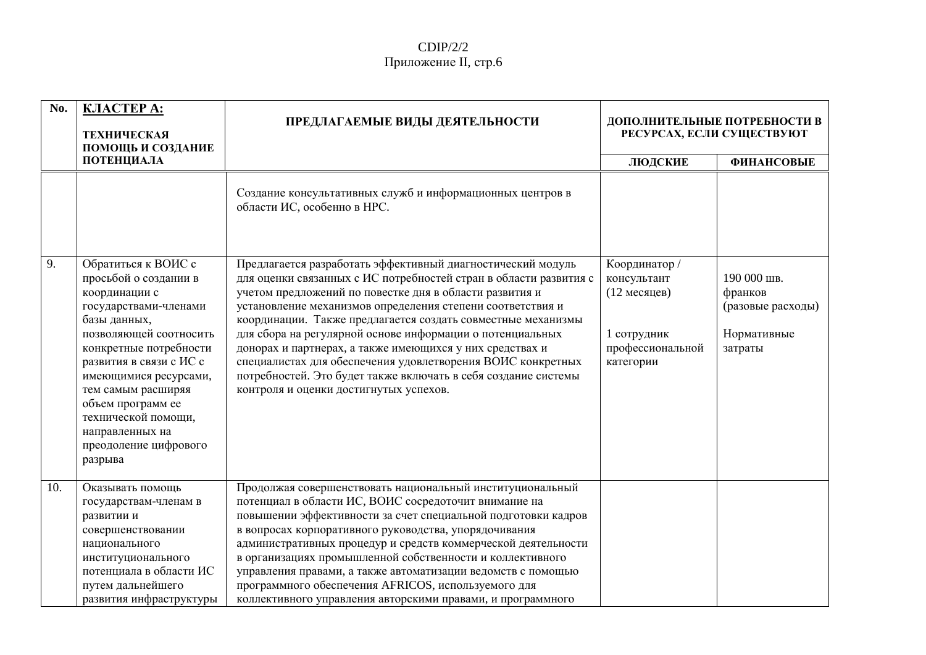### $CDIP/2/2$ Приложение II, стр.6

| No. | КЛАСТЕРА:<br><b>ТЕХНИЧЕСКАЯ</b><br>ПОМОЩЬ И СОЗДАНИЕ                                                                                                                                                                                                                                                                                    | ПРЕДЛАГАЕМЫЕ ВИДЫ ДЕЯТЕЛЬНОСТИ                                                                                                                                                                                                                                                                                                                                                                                                                                                                                                                                                                                                | ДОПОЛНИТЕЛЬНЫЕ ПОТРЕБНОСТИ В<br>РЕСУРСАХ, ЕСЛИ СУЩЕСТВУЮТ                                    |                                                                       |
|-----|-----------------------------------------------------------------------------------------------------------------------------------------------------------------------------------------------------------------------------------------------------------------------------------------------------------------------------------------|-------------------------------------------------------------------------------------------------------------------------------------------------------------------------------------------------------------------------------------------------------------------------------------------------------------------------------------------------------------------------------------------------------------------------------------------------------------------------------------------------------------------------------------------------------------------------------------------------------------------------------|----------------------------------------------------------------------------------------------|-----------------------------------------------------------------------|
|     | ПОТЕНЦИАЛА                                                                                                                                                                                                                                                                                                                              |                                                                                                                                                                                                                                                                                                                                                                                                                                                                                                                                                                                                                               | ЛЮДСКИЕ                                                                                      | <b>ФИНАНСОВЫЕ</b>                                                     |
|     |                                                                                                                                                                                                                                                                                                                                         | Создание консультативных служб и информационных центров в<br>области ИС, особенно в НРС.                                                                                                                                                                                                                                                                                                                                                                                                                                                                                                                                      |                                                                                              |                                                                       |
| 9.  | Обратиться к ВОИС с<br>просьбой о создании в<br>координации с<br>государствами-членами<br>базы данных,<br>позволяющей соотносить<br>конкретные потребности<br>развития в связи с ИС с<br>имеющимися ресурсами,<br>тем самым расширяя<br>объем программ ее<br>технической помощи,<br>направленных на<br>преодоление цифрового<br>разрыва | Предлагается разработать эффективный диагностический модуль<br>для оценки связанных с ИС потребностей стран в области развития с<br>учетом предложений по повестке дня в области развития и<br>установление механизмов определения степени соответствия и<br>координации. Также предлагается создать совместные механизмы<br>для сбора на регулярной основе информации о потенциальных<br>донорах и партнерах, а также имеющихся у них средствах и<br>специалистах для обеспечения удовлетворения ВОИС конкретных<br>потребностей. Это будет также включать в себя создание системы<br>контроля и оценки достигнутых успехов. | Координатор /<br>консультант<br>(12 месяцев)<br>1 сотрудник<br>профессиональной<br>категории | 190 000 шв.<br>франков<br>(разовые расходы)<br>Нормативные<br>затраты |
| 10. | Оказывать помощь<br>государствам-членам в<br>развитии и<br>совершенствовании<br>национального<br>институционального<br>потенциала в области ИС<br>путем дальнейшего<br>развития инфраструктуры                                                                                                                                          | Продолжая совершенствовать национальный институциональный<br>потенциал в области ИС, ВОИС сосредоточит внимание на<br>повышении эффективности за счет специальной подготовки кадров<br>в вопросах корпоративного руководства, упорядочивания<br>административных процедур и средств коммерческой деятельности<br>в организациях промышленной собственности и коллективного<br>управления правами, а также автоматизации ведомств с помощью<br>программного обеспечения AFRICOS, используемого для<br>коллективного управления авторскими правами, и программного                                                              |                                                                                              |                                                                       |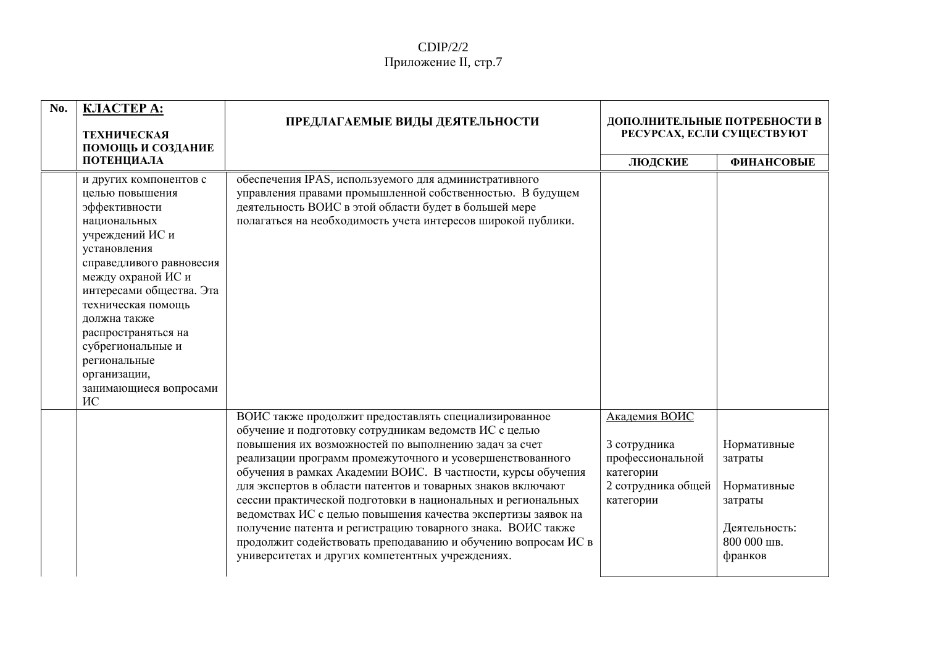| No. | <b>KJIACTEP A:</b><br><b>ТЕХНИЧЕСКАЯ</b><br>ПОМОЩЬ И СОЗДАНИЕ                                                                                                                                                                                                                                                                                 | ПРЕДЛАГАЕМЫЕ ВИДЫ ДЕЯТЕЛЬНОСТИ                                                                                                                                                                                                                                                                                                                                                                                                                                                                                                                                                                                                                                                           | ДОПОЛНИТЕЛЬНЫЕ ПОТРЕБНОСТИ В<br>РЕСУРСАХ, ЕСЛИ СУЩЕСТВУЮТ                                         |                                                                                             |
|-----|-----------------------------------------------------------------------------------------------------------------------------------------------------------------------------------------------------------------------------------------------------------------------------------------------------------------------------------------------|------------------------------------------------------------------------------------------------------------------------------------------------------------------------------------------------------------------------------------------------------------------------------------------------------------------------------------------------------------------------------------------------------------------------------------------------------------------------------------------------------------------------------------------------------------------------------------------------------------------------------------------------------------------------------------------|---------------------------------------------------------------------------------------------------|---------------------------------------------------------------------------------------------|
|     | ПОТЕНЦИАЛА                                                                                                                                                                                                                                                                                                                                    |                                                                                                                                                                                                                                                                                                                                                                                                                                                                                                                                                                                                                                                                                          | ЛЮДСКИЕ                                                                                           | <b>ФИНАНСОВЫЕ</b>                                                                           |
|     | и других компонентов с<br>целью повышения<br>эффективности<br>национальных<br>учреждений ИС и<br>установления<br>справедливого равновесия<br>между охраной ИС и<br>интересами общества. Эта<br>техническая помощь<br>должна также<br>распространяться на<br>субрегиональные и<br>региональные<br>организации,<br>занимающиеся вопросами<br>ИС | обеспечения IPAS, используемого для административного<br>управления правами промышленной собственностью. В будущем<br>деятельность ВОИС в этой области будет в большей мере<br>полагаться на необходимость учета интересов широкой публики.                                                                                                                                                                                                                                                                                                                                                                                                                                              |                                                                                                   |                                                                                             |
|     |                                                                                                                                                                                                                                                                                                                                               | ВОИС также продолжит предоставлять специализированное<br>обучение и подготовку сотрудникам ведомств ИС с целью<br>повышения их возможностей по выполнению задач за счет<br>реализации программ промежуточного и усовершенствованного<br>обучения в рамках Академии ВОИС. В частности, курсы обучения<br>для экспертов в области патентов и товарных знаков включают<br>сессии практической подготовки в национальных и региональных<br>ведомствах ИС с целью повышения качества экспертизы заявок на<br>получение патента и регистрацию товарного знака. ВОИС также<br>продолжит содействовать преподаванию и обучению вопросам ИС в<br>университетах и других компетентных учреждениях. | Академия ВОИС<br>3 сотрудника<br>профессиональной<br>категории<br>2 сотрудника общей<br>категории | Нормативные<br>затраты<br>Нормативные<br>затраты<br>Деятельность:<br>800 000 шв.<br>франков |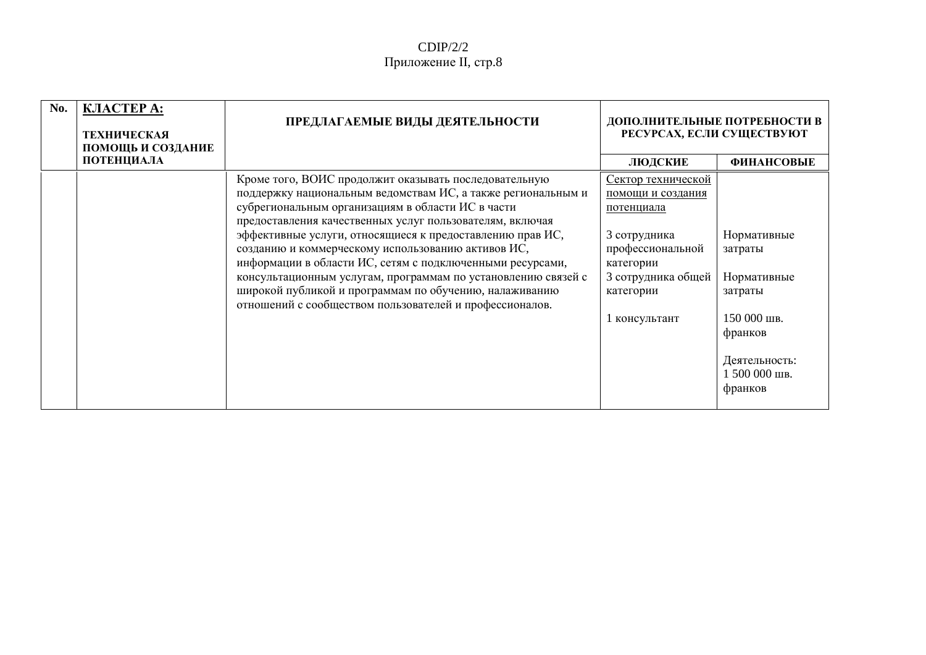| No. | КЛАСТЕРА:<br><b>ТЕХНИЧЕСКАЯ</b><br>ПОМОЩЬ И СОЗДАНИЕ | ПРЕДЛАГАЕМЫЕ ВИДЫ ДЕЯТЕЛЬНОСТИ                                                                                                                                                                                                                                                                                                                                                                                                                                                                                                                                                                               | ДОПОЛНИТЕЛЬНЫЕ ПОТРЕБНОСТИ В<br>РЕСУРСАХ, ЕСЛИ СУЩЕСТВУЮТ                                                                                                  |                                                                                                                         |
|-----|------------------------------------------------------|--------------------------------------------------------------------------------------------------------------------------------------------------------------------------------------------------------------------------------------------------------------------------------------------------------------------------------------------------------------------------------------------------------------------------------------------------------------------------------------------------------------------------------------------------------------------------------------------------------------|------------------------------------------------------------------------------------------------------------------------------------------------------------|-------------------------------------------------------------------------------------------------------------------------|
|     | ПОТЕНЦИАЛА                                           |                                                                                                                                                                                                                                                                                                                                                                                                                                                                                                                                                                                                              | ЛЮДСКИЕ                                                                                                                                                    | <b>ФИНАНСОВЫЕ</b>                                                                                                       |
|     |                                                      | Кроме того, ВОИС продолжит оказывать последовательную<br>поддержку национальным ведомствам ИС, а также региональным и<br>субрегиональным организациям в области ИС в части<br>предоставления качественных услуг пользователям, включая<br>эффективные услуги, относящиеся к предоставлению прав ИС,<br>созданию и коммерческому использованию активов ИС,<br>информации в области ИС, сетям с подключенными ресурсами,<br>консультационным услугам, программам по установлению связей с<br>широкой публикой и программам по обучению, налаживанию<br>отношений с сообществом пользователей и профессионалов. | Сектор технической<br>помощи и создания<br>потенциала<br>3 сотрудника<br>профессиональной<br>категории<br>3 сотрудника общей<br>категории<br>1 консультант | Нормативные<br>затраты<br>Нормативные<br>затраты<br>150 000 шв.<br>франков<br>Деятельность:<br>1 500 000 шв.<br>франков |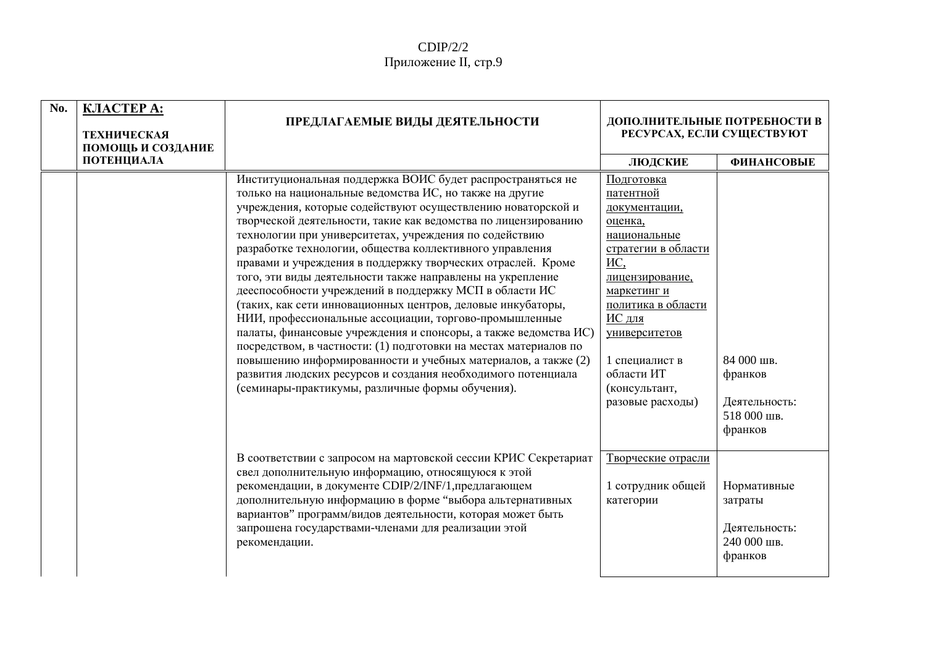| No. | <b>KJIACTEP A:</b><br><b>ТЕХНИЧЕСКАЯ</b><br>ПОМОЩЬ И СОЗДАНИЕ | ПРЕДЛАГАЕМЫЕ ВИДЫ ДЕЯТЕЛЬНОСТИ                                                                                                                                                                                                                                                                                                                                                                                                                                                                                                                                                                                                                                                                                                                                                                                                                                                                                                                                                                                           | ДОПОЛНИТЕЛЬНЫЕ ПОТРЕБНОСТИ В<br>РЕСУРСАХ, ЕСЛИ СУЩЕСТВУЮТ                                                                                                                                                                                                 |                                                                   |
|-----|---------------------------------------------------------------|--------------------------------------------------------------------------------------------------------------------------------------------------------------------------------------------------------------------------------------------------------------------------------------------------------------------------------------------------------------------------------------------------------------------------------------------------------------------------------------------------------------------------------------------------------------------------------------------------------------------------------------------------------------------------------------------------------------------------------------------------------------------------------------------------------------------------------------------------------------------------------------------------------------------------------------------------------------------------------------------------------------------------|-----------------------------------------------------------------------------------------------------------------------------------------------------------------------------------------------------------------------------------------------------------|-------------------------------------------------------------------|
|     | ПОТЕНЦИАЛА                                                    |                                                                                                                                                                                                                                                                                                                                                                                                                                                                                                                                                                                                                                                                                                                                                                                                                                                                                                                                                                                                                          | ЛЮДСКИЕ                                                                                                                                                                                                                                                   | <b>ФИНАНСОВЫЕ</b>                                                 |
|     |                                                               | Институциональная поддержка ВОИС будет распространяться не<br>только на национальные ведомства ИС, но также на другие<br>учреждения, которые содействуют осуществлению новаторской и<br>творческой деятельности, такие как ведомства по лицензированию<br>технологии при университетах, учреждения по содействию<br>разработке технологии, общества коллективного управления<br>правами и учреждения в поддержку творческих отраслей. Кроме<br>того, эти виды деятельности также направлены на укрепление<br>дееспособности учреждений в поддержку МСП в области ИС<br>(таких, как сети инновационных центров, деловые инкубаторы,<br>НИИ, профессиональные ассоциации, торгово-промышленные<br>палаты, финансовые учреждения и спонсоры, а также ведомства ИС)<br>посредством, в частности: (1) подготовки на местах материалов по<br>повышению информированности и учебных материалов, а также (2)<br>развития людских ресурсов и создания необходимого потенциала<br>(семинары-практикумы, различные формы обучения). | Подготовка<br>патентной<br>документации,<br>оценка,<br>национальные<br>стратегии в области<br>ИC,<br>лицензирование,<br>маркетинг и<br>политика в области<br>ИС для<br>университетов<br>1 специалист в<br>области ИТ<br>(консультант,<br>разовые расходы) | 84 000 шв.<br>франков<br>Деятельность:<br>518 000 шв.<br>франков  |
|     |                                                               | В соответствии с запросом на мартовской сессии КРИС Секретариат<br>свел дополнительную информацию, относящуюся к этой<br>рекомендации, в документе CDIP/2/INF/1, предлагающем<br>дополнительную информацию в форме "выбора альтернативных<br>вариантов" программ/видов деятельности, которая может быть<br>запрошена государствами-членами для реализации этой<br>рекомендации.                                                                                                                                                                                                                                                                                                                                                                                                                                                                                                                                                                                                                                          | Творческие отрасли<br>1 сотрудник общей<br>категории                                                                                                                                                                                                      | Нормативные<br>затраты<br>Деятельность:<br>240 000 шв.<br>франков |